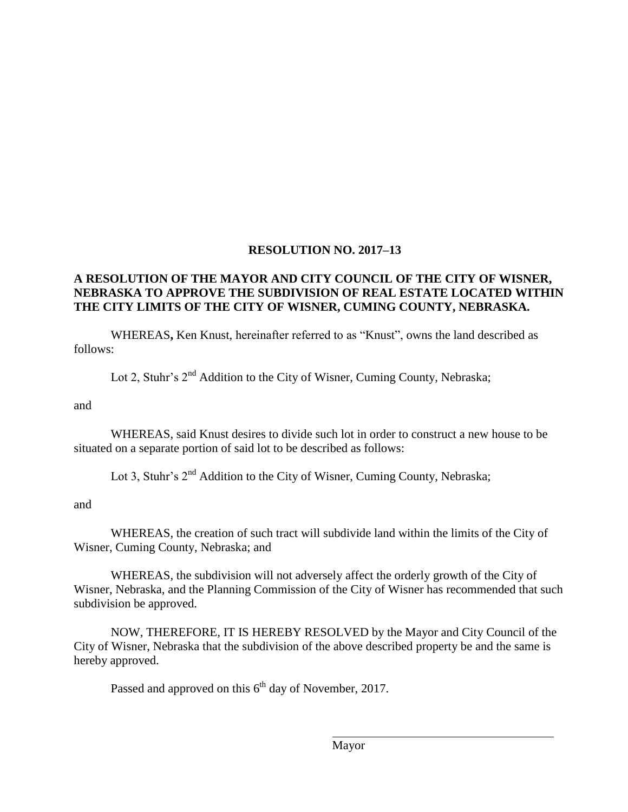## **RESOLUTION NO. 2017–13**

## **A RESOLUTION OF THE MAYOR AND CITY COUNCIL OF THE CITY OF WISNER, NEBRASKA TO APPROVE THE SUBDIVISION OF REAL ESTATE LOCATED WITHIN THE CITY LIMITS OF THE CITY OF WISNER, CUMING COUNTY, NEBRASKA.**

WHEREAS**,** Ken Knust, hereinafter referred to as "Knust", owns the land described as follows:

Lot 2, Stuhr's  $2^{nd}$  Addition to the City of Wisner, Cuming County, Nebraska;

and

WHEREAS, said Knust desires to divide such lot in order to construct a new house to be situated on a separate portion of said lot to be described as follows:

Lot 3, Stuhr's  $2<sup>nd</sup>$  Addition to the City of Wisner, Cuming County, Nebraska;

and

WHEREAS, the creation of such tract will subdivide land within the limits of the City of Wisner, Cuming County, Nebraska; and

WHEREAS, the subdivision will not adversely affect the orderly growth of the City of Wisner, Nebraska, and the Planning Commission of the City of Wisner has recommended that such subdivision be approved.

NOW, THEREFORE, IT IS HEREBY RESOLVED by the Mayor and City Council of the City of Wisner, Nebraska that the subdivision of the above described property be and the same is hereby approved.

Passed and approved on this  $6<sup>th</sup>$  day of November, 2017.